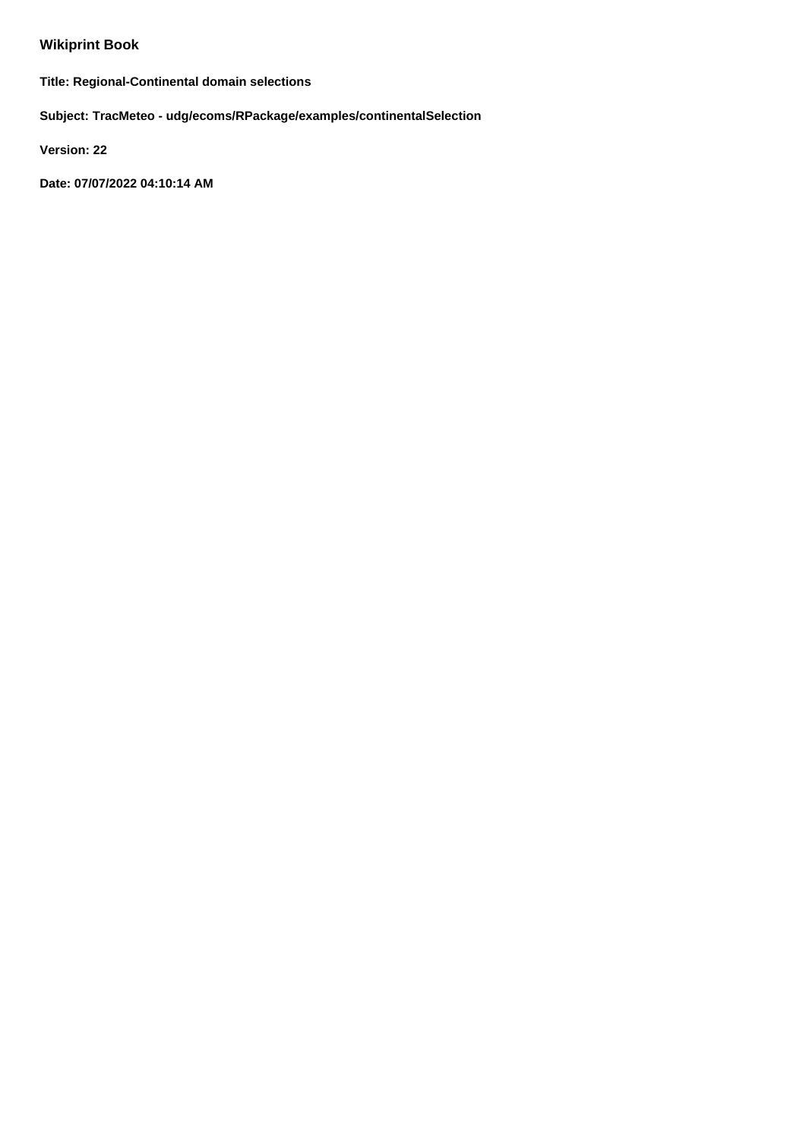## **Wikiprint Book**

**Title: Regional-Continental domain selections**

**Subject: TracMeteo - udg/ecoms/RPackage/examples/continentalSelection**

**Version: 22**

**Date: 07/07/2022 04:10:14 AM**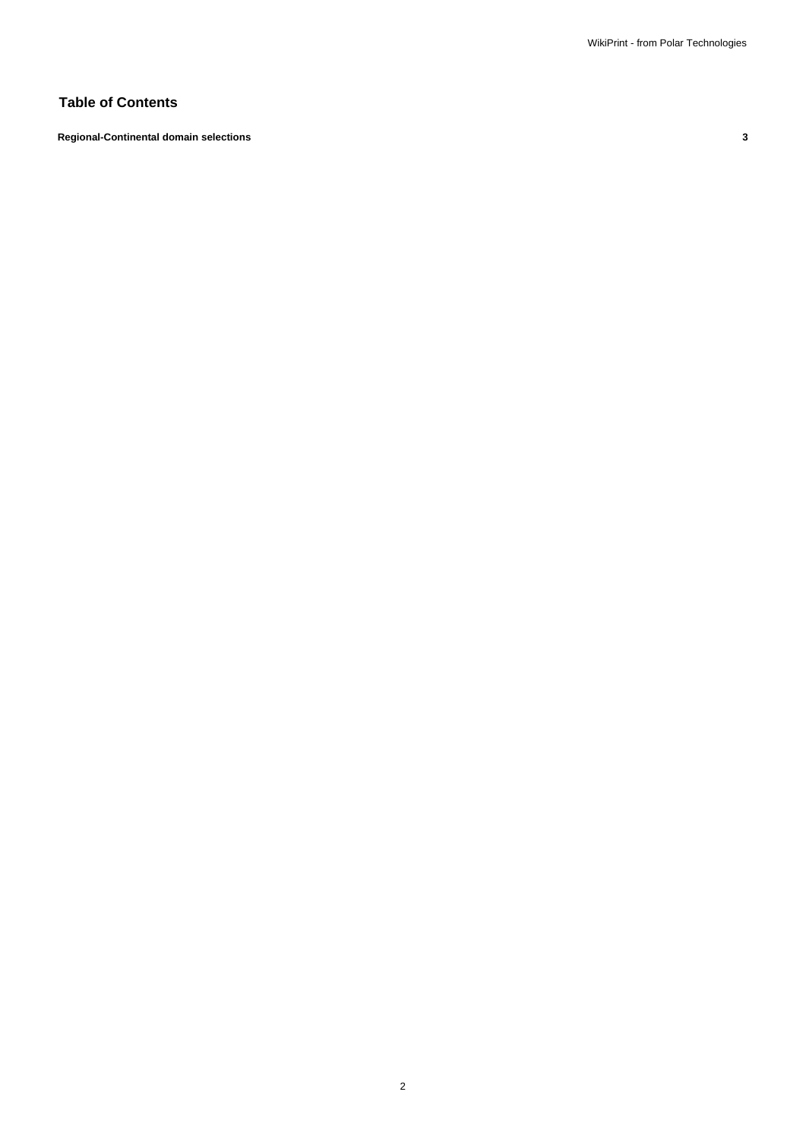## **Table of Contents**

**Regional-Continental domain selections 3**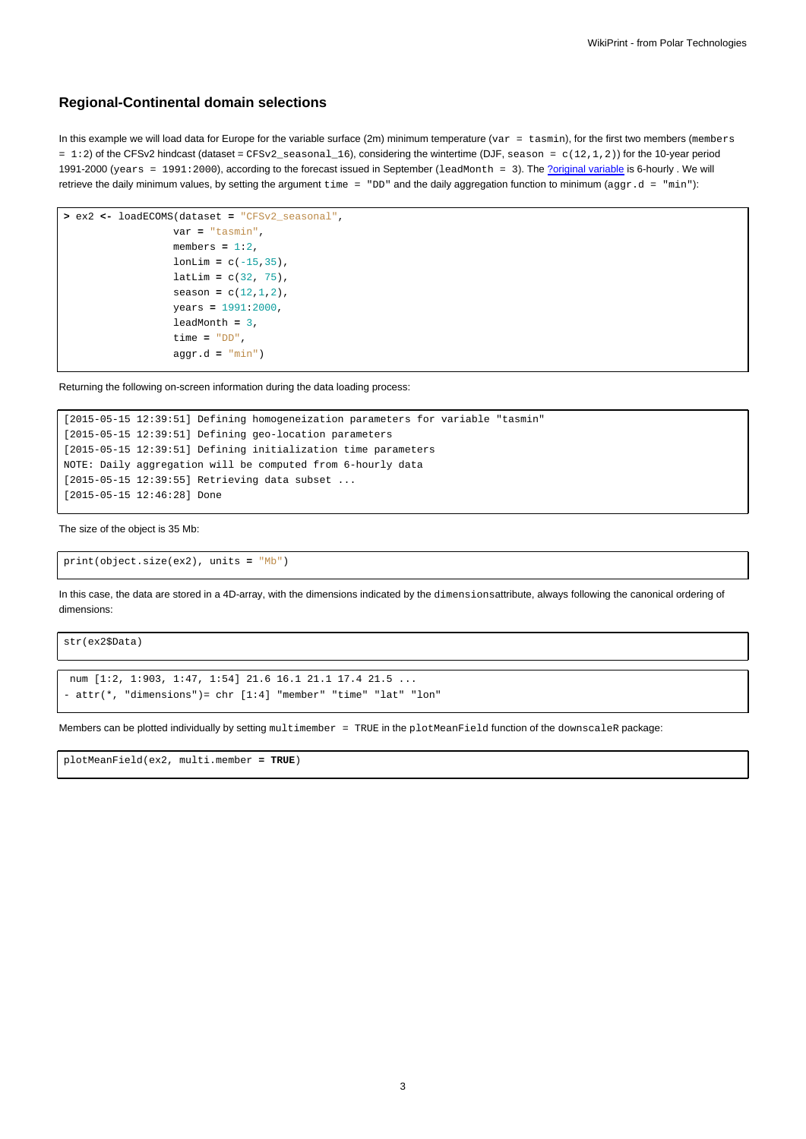## **Regional-Continental domain selections**

In this example we will load data for Europe for the variable surface (2m) minimum temperature (var = tasmin), for the first two members (members = 1:2) of the CFSv2 hindcast (dataset = CFSv2\_seasonal\_16), considering the wintertime (DJF, season = c(12,1,2)) for the 10-year period 1991-2000 (years = 1991:2000), according to the forecast issued in September (1eadMonth = 3). The [?original variable](http://meteo.unican.es/trac/wiki/udg/ecoms/dataserver/listofvariables) is 6-hourly . We will retrieve the daily minimum values, by setting the argument time = "DD" and the daily aggregation function to minimum (aggr.d = "min"):

```
> ex2 <- loadECOMS(dataset = "CFSv2_seasonal",
                  var = "tasmin",
                  members = 1:2,
                  lonLim = c(-15, 35),
                  latLim = c(32, 75),
                  season = c(12,1,2),
                  years = 1991:2000,
                  leadMonth = 3,
                  time = "DD",
                  aggr.d = "min")
```
Returning the following on-screen information during the data loading process:

```
[2015-05-15 12:39:51] Defining homogeneization parameters for variable "tasmin"
[2015-05-15 12:39:51] Defining geo-location parameters
[2015-05-15 12:39:51] Defining initialization time parameters
NOTE: Daily aggregation will be computed from 6-hourly data
[2015-05-15 12:39:55] Retrieving data subset ...
[2015-05-15 12:46:28] Done
```
The size of the object is 35 Mb:

```
print(object.size(ex2), units = "Mb")
```
In this case, the data are stored in a 4D-array, with the dimensions indicated by the dimensionsattribute, always following the canonical ordering of dimensions:

str(ex2\$Data)

```
num [1:2, 1:903, 1:47, 1:54] 21.6 16.1 21.1 17.4 21.5 ...
- attr(*, "dimensions")= chr [1:4] "member" "time" "lat" "lon"
```
Members can be plotted individually by setting multimember = TRUE in the plotMeanField function of the downscaleR package:

plotMeanField(ex2, multi.member **= TRUE**)